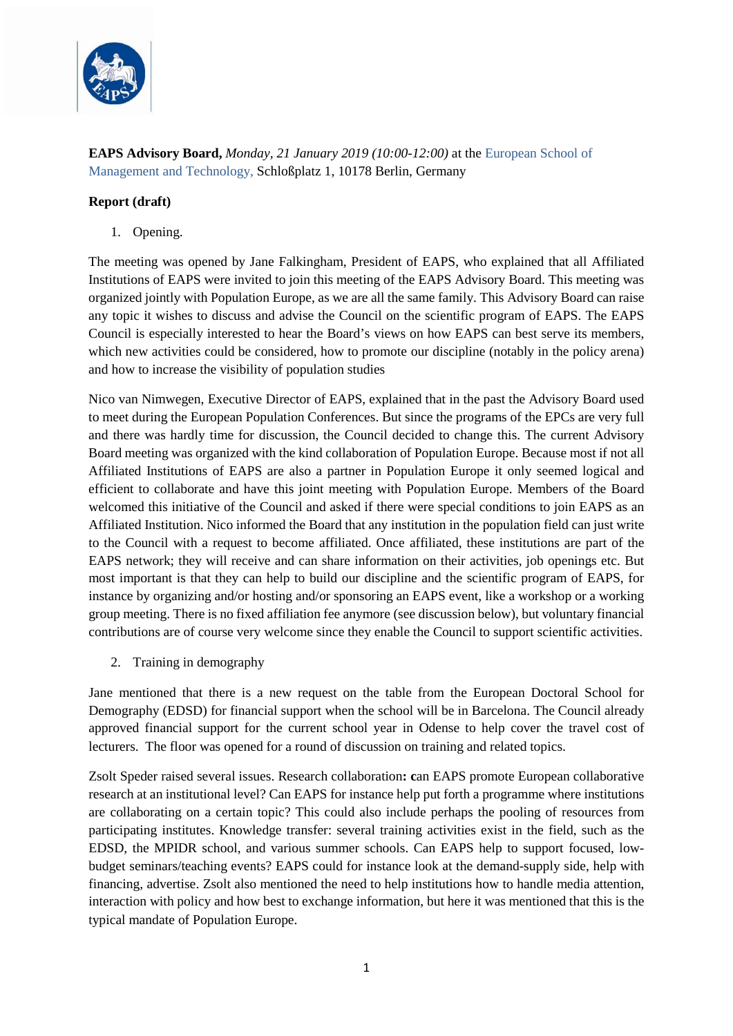

**EAPS Advisory Board,** *Monday, 21 January 2019 (10:00-12:00)* at the [European School of](https://www.esmt.org/school-networks/about-esmt-berlin/campus-locations/esmt-berlin)  [Management and Technology,](https://www.esmt.org/school-networks/about-esmt-berlin/campus-locations/esmt-berlin) Schloßplatz 1, 10178 Berlin, Germany

#### **Report (draft)**

1. Opening.

The meeting was opened by Jane Falkingham, President of EAPS, who explained that all Affiliated Institutions of EAPS were invited to join this meeting of the EAPS Advisory Board. This meeting was organized jointly with Population Europe, as we are all the same family. This Advisory Board can raise any topic it wishes to discuss and advise the Council on the scientific program of EAPS. The EAPS Council is especially interested to hear the Board's views on how EAPS can best serve its members, which new activities could be considered, how to promote our discipline (notably in the policy arena) and how to increase the visibility of population studies

Nico van Nimwegen, Executive Director of EAPS, explained that in the past the Advisory Board used to meet during the European Population Conferences. But since the programs of the EPCs are very full and there was hardly time for discussion, the Council decided to change this. The current Advisory Board meeting was organized with the kind collaboration of Population Europe. Because most if not all Affiliated Institutions of EAPS are also a partner in Population Europe it only seemed logical and efficient to collaborate and have this joint meeting with Population Europe. Members of the Board welcomed this initiative of the Council and asked if there were special conditions to join EAPS as an Affiliated Institution. Nico informed the Board that any institution in the population field can just write to the Council with a request to become affiliated. Once affiliated, these institutions are part of the EAPS network; they will receive and can share information on their activities, job openings etc. But most important is that they can help to build our discipline and the scientific program of EAPS, for instance by organizing and/or hosting and/or sponsoring an EAPS event, like a workshop or a working group meeting. There is no fixed affiliation fee anymore (see discussion below), but voluntary financial contributions are of course very welcome since they enable the Council to support scientific activities.

2. Training in demography

Jane mentioned that there is a new request on the table from the European Doctoral School for Demography (EDSD) for financial support when the school will be in Barcelona. The Council already approved financial support for the current school year in Odense to help cover the travel cost of lecturers. The floor was opened for a round of discussion on training and related topics.

Zsolt Speder raised several issues. Research collaboration**: c**an EAPS promote European collaborative research at an institutional level? Can EAPS for instance help put forth a programme where institutions are collaborating on a certain topic? This could also include perhaps the pooling of resources from participating institutes. Knowledge transfer: several training activities exist in the field, such as the EDSD, the MPIDR school, and various summer schools. Can EAPS help to support focused, lowbudget seminars/teaching events? EAPS could for instance look at the demand-supply side, help with financing, advertise. Zsolt also mentioned the need to help institutions how to handle media attention, interaction with policy and how best to exchange information, but here it was mentioned that this is the typical mandate of Population Europe.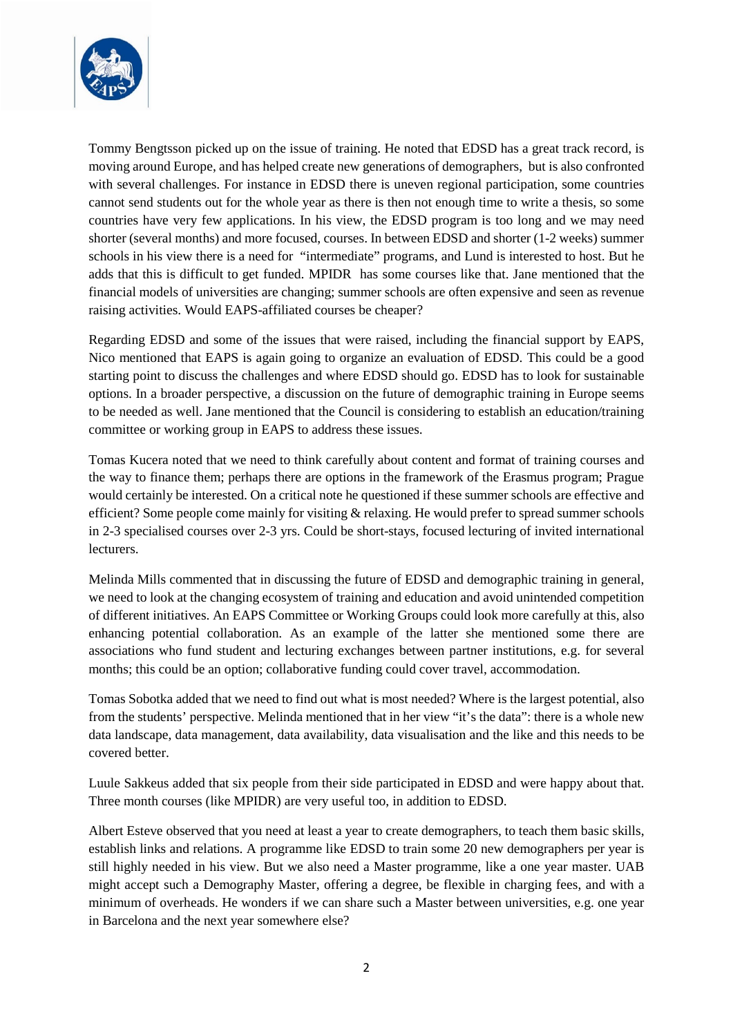

Tommy Bengtsson picked up on the issue of training. He noted that EDSD has a great track record, is moving around Europe, and has helped create new generations of demographers, but is also confronted with several challenges. For instance in EDSD there is uneven regional participation, some countries cannot send students out for the whole year as there is then not enough time to write a thesis, so some countries have very few applications. In his view, the EDSD program is too long and we may need shorter (several months) and more focused, courses. In between EDSD and shorter (1-2 weeks) summer schools in his view there is a need for "intermediate" programs, and Lund is interested to host. But he adds that this is difficult to get funded. MPIDR has some courses like that. Jane mentioned that the financial models of universities are changing; summer schools are often expensive and seen as revenue raising activities. Would EAPS-affiliated courses be cheaper?

Regarding EDSD and some of the issues that were raised, including the financial support by EAPS, Nico mentioned that EAPS is again going to organize an evaluation of EDSD. This could be a good starting point to discuss the challenges and where EDSD should go. EDSD has to look for sustainable options. In a broader perspective, a discussion on the future of demographic training in Europe seems to be needed as well. Jane mentioned that the Council is considering to establish an education/training committee or working group in EAPS to address these issues.

Tomas Kucera noted that we need to think carefully about content and format of training courses and the way to finance them; perhaps there are options in the framework of the Erasmus program; Prague would certainly be interested. On a critical note he questioned if these summer schools are effective and efficient? Some people come mainly for visiting & relaxing. He would prefer to spread summer schools in 2-3 specialised courses over 2-3 yrs. Could be short-stays, focused lecturing of invited international lecturers.

Melinda Mills commented that in discussing the future of EDSD and demographic training in general, we need to look at the changing ecosystem of training and education and avoid unintended competition of different initiatives. An EAPS Committee or Working Groups could look more carefully at this, also enhancing potential collaboration. As an example of the latter she mentioned some there are associations who fund student and lecturing exchanges between partner institutions, e.g. for several months; this could be an option; collaborative funding could cover travel, accommodation.

Tomas Sobotka added that we need to find out what is most needed? Where is the largest potential, also from the students' perspective. Melinda mentioned that in her view "it's the data": there is a whole new data landscape, data management, data availability, data visualisation and the like and this needs to be covered better.

Luule Sakkeus added that six people from their side participated in EDSD and were happy about that. Three month courses (like MPIDR) are very useful too, in addition to EDSD.

Albert Esteve observed that you need at least a year to create demographers, to teach them basic skills, establish links and relations. A programme like EDSD to train some 20 new demographers per year is still highly needed in his view. But we also need a Master programme, like a one year master. UAB might accept such a Demography Master, offering a degree, be flexible in charging fees, and with a minimum of overheads. He wonders if we can share such a Master between universities, e.g. one year in Barcelona and the next year somewhere else?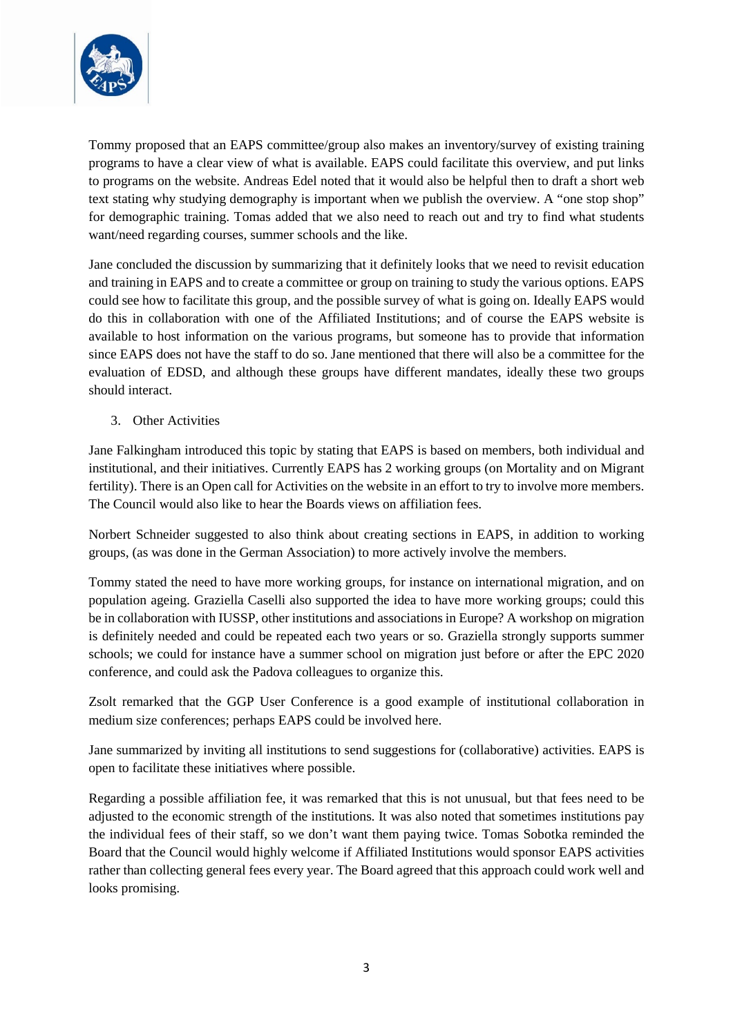

Tommy proposed that an EAPS committee/group also makes an inventory/survey of existing training programs to have a clear view of what is available. EAPS could facilitate this overview, and put links to programs on the website. Andreas Edel noted that it would also be helpful then to draft a short web text stating why studying demography is important when we publish the overview. A "one stop shop" for demographic training. Tomas added that we also need to reach out and try to find what students want/need regarding courses, summer schools and the like.

Jane concluded the discussion by summarizing that it definitely looks that we need to revisit education and training in EAPS and to create a committee or group on training to study the various options. EAPS could see how to facilitate this group, and the possible survey of what is going on. Ideally EAPS would do this in collaboration with one of the Affiliated Institutions; and of course the EAPS website is available to host information on the various programs, but someone has to provide that information since EAPS does not have the staff to do so. Jane mentioned that there will also be a committee for the evaluation of EDSD, and although these groups have different mandates, ideally these two groups should interact.

3. Other Activities

Jane Falkingham introduced this topic by stating that EAPS is based on members, both individual and institutional, and their initiatives. Currently EAPS has 2 working groups (on Mortality and on Migrant fertility). There is an Open call for Activities on the website in an effort to try to involve more members. The Council would also like to hear the Boards views on affiliation fees.

Norbert Schneider suggested to also think about creating sections in EAPS, in addition to working groups, (as was done in the German Association) to more actively involve the members.

Tommy stated the need to have more working groups, for instance on international migration, and on population ageing. Graziella Caselli also supported the idea to have more working groups; could this be in collaboration with IUSSP, other institutions and associations in Europe? A workshop on migration is definitely needed and could be repeated each two years or so. Graziella strongly supports summer schools; we could for instance have a summer school on migration just before or after the EPC 2020 conference, and could ask the Padova colleagues to organize this.

Zsolt remarked that the GGP User Conference is a good example of institutional collaboration in medium size conferences; perhaps EAPS could be involved here.

Jane summarized by inviting all institutions to send suggestions for (collaborative) activities. EAPS is open to facilitate these initiatives where possible.

Regarding a possible affiliation fee, it was remarked that this is not unusual, but that fees need to be adjusted to the economic strength of the institutions. It was also noted that sometimes institutions pay the individual fees of their staff, so we don't want them paying twice. Tomas Sobotka reminded the Board that the Council would highly welcome if Affiliated Institutions would sponsor EAPS activities rather than collecting general fees every year. The Board agreed that this approach could work well and looks promising.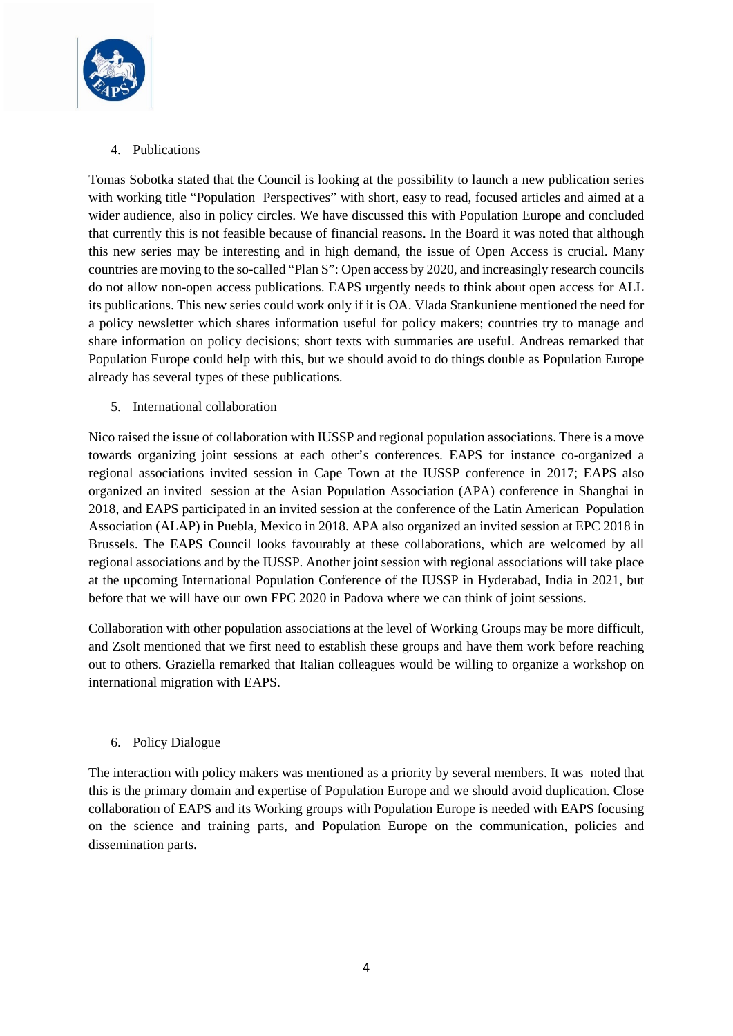

# 4. Publications

Tomas Sobotka stated that the Council is looking at the possibility to launch a new publication series with working title "Population Perspectives" with short, easy to read, focused articles and aimed at a wider audience, also in policy circles. We have discussed this with Population Europe and concluded that currently this is not feasible because of financial reasons. In the Board it was noted that although this new series may be interesting and in high demand, the issue of Open Access is crucial. Many countries are moving to the so-called "Plan S": Open access by 2020, and increasingly research councils do not allow non-open access publications. EAPS urgently needs to think about open access for ALL its publications. This new series could work only if it is OA. Vlada Stankuniene mentioned the need for a policy newsletter which shares information useful for policy makers; countries try to manage and share information on policy decisions; short texts with summaries are useful. Andreas remarked that Population Europe could help with this, but we should avoid to do things double as Population Europe already has several types of these publications.

### 5. International collaboration

Nico raised the issue of collaboration with IUSSP and regional population associations. There is a move towards organizing joint sessions at each other's conferences. EAPS for instance co-organized a regional associations invited session in Cape Town at the IUSSP conference in 2017; EAPS also organized an invited session at the Asian Population Association (APA) conference in Shanghai in 2018, and EAPS participated in an invited session at the conference of the Latin American Population Association (ALAP) in Puebla, Mexico in 2018. APA also organized an invited session at EPC 2018 in Brussels. The EAPS Council looks favourably at these collaborations, which are welcomed by all regional associations and by the IUSSP. Another joint session with regional associations will take place at the upcoming International Population Conference of the IUSSP in Hyderabad, India in 2021, but before that we will have our own EPC 2020 in Padova where we can think of joint sessions.

Collaboration with other population associations at the level of Working Groups may be more difficult, and Zsolt mentioned that we first need to establish these groups and have them work before reaching out to others. Graziella remarked that Italian colleagues would be willing to organize a workshop on international migration with EAPS.

## 6. Policy Dialogue

The interaction with policy makers was mentioned as a priority by several members. It was noted that this is the primary domain and expertise of Population Europe and we should avoid duplication. Close collaboration of EAPS and its Working groups with Population Europe is needed with EAPS focusing on the science and training parts, and Population Europe on the communication, policies and dissemination parts.